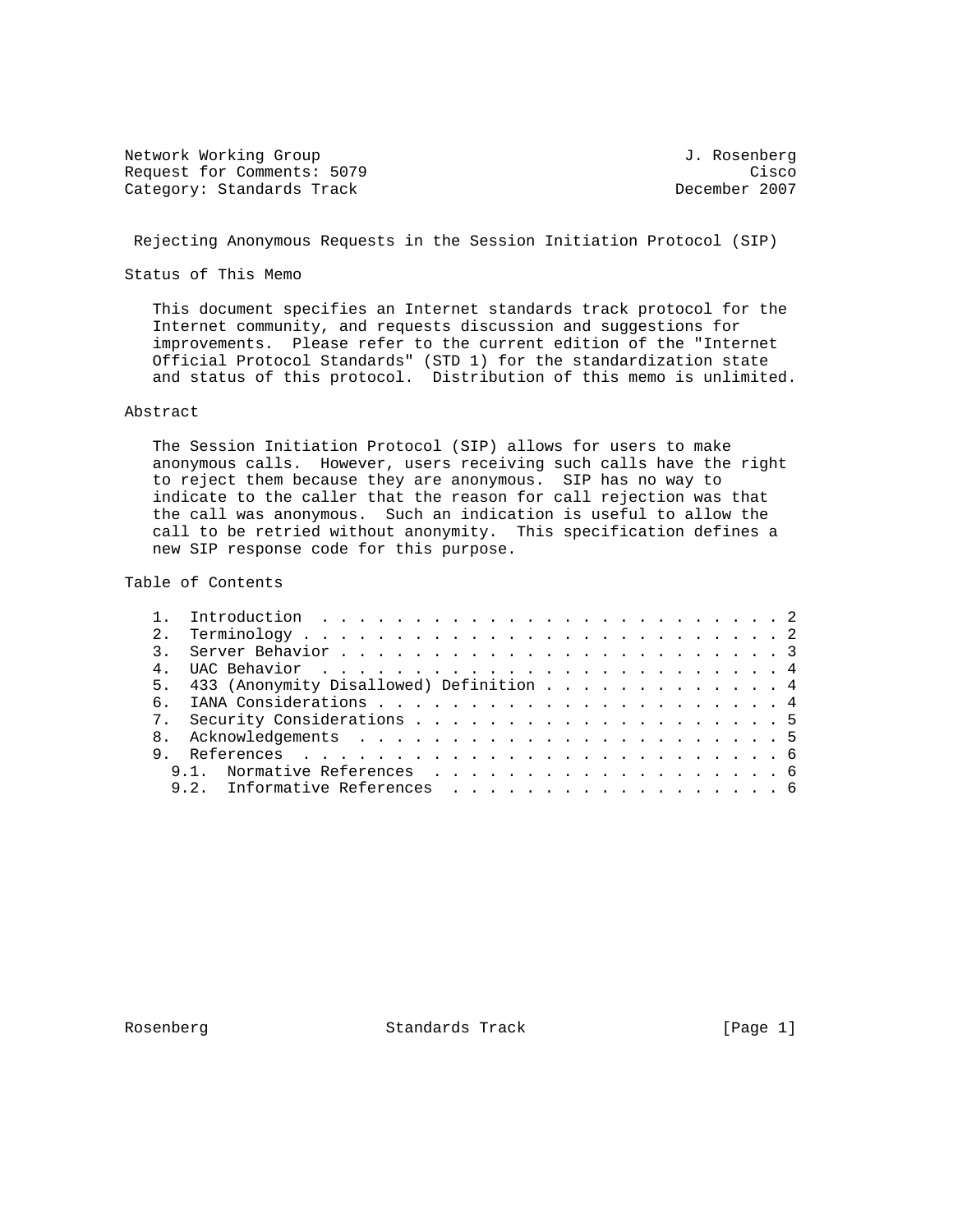Network Working Group 3. 2008 1. Rosenberg 3. Rosenberg 3. Rosenberg Request for Comments: 5079 Cisco<br>Category: Standards Track Category: Category: Standards Track Category: Standards Track

Rejecting Anonymous Requests in the Session Initiation Protocol (SIP)

Status of This Memo

 This document specifies an Internet standards track protocol for the Internet community, and requests discussion and suggestions for improvements. Please refer to the current edition of the "Internet Official Protocol Standards" (STD 1) for the standardization state and status of this protocol. Distribution of this memo is unlimited.

# Abstract

 The Session Initiation Protocol (SIP) allows for users to make anonymous calls. However, users receiving such calls have the right to reject them because they are anonymous. SIP has no way to indicate to the caller that the reason for call rejection was that the call was anonymous. Such an indication is useful to allow the call to be retried without anonymity. This specification defines a new SIP response code for this purpose.

Table of Contents

| 5. 433 (Anonymity Disallowed) Definition 4 |
|--------------------------------------------|
|                                            |
|                                            |
|                                            |
|                                            |
|                                            |
| 9.2. Informative References 6              |
|                                            |

Rosenberg **Standards Track** [Page 1]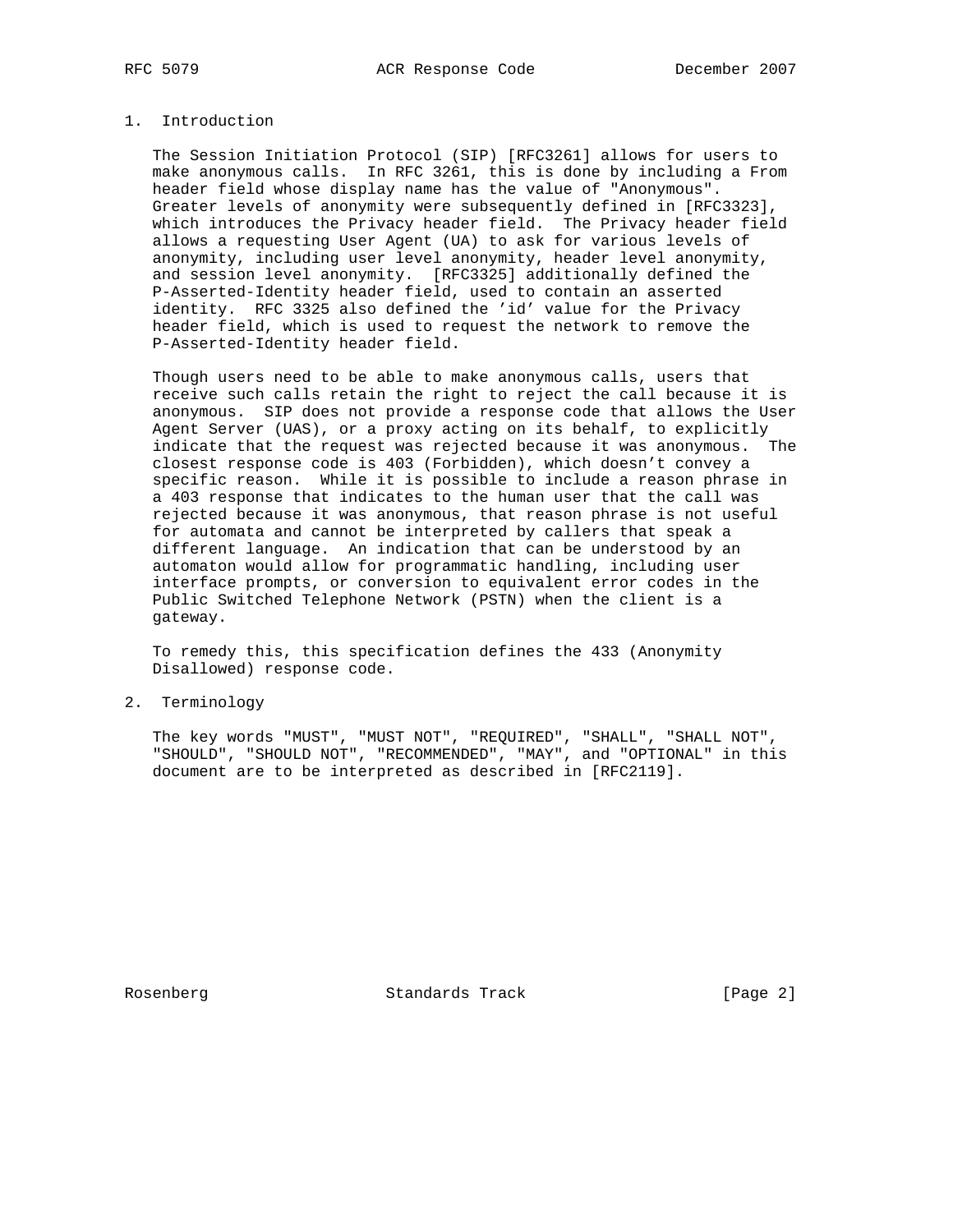### 1. Introduction

 The Session Initiation Protocol (SIP) [RFC3261] allows for users to make anonymous calls. In RFC 3261, this is done by including a From header field whose display name has the value of "Anonymous". Greater levels of anonymity were subsequently defined in [RFC3323], which introduces the Privacy header field. The Privacy header field allows a requesting User Agent (UA) to ask for various levels of anonymity, including user level anonymity, header level anonymity, and session level anonymity. [RFC3325] additionally defined the P-Asserted-Identity header field, used to contain an asserted identity. RFC 3325 also defined the 'id' value for the Privacy header field, which is used to request the network to remove the P-Asserted-Identity header field.

 Though users need to be able to make anonymous calls, users that receive such calls retain the right to reject the call because it is anonymous. SIP does not provide a response code that allows the User Agent Server (UAS), or a proxy acting on its behalf, to explicitly indicate that the request was rejected because it was anonymous. The closest response code is 403 (Forbidden), which doesn't convey a specific reason. While it is possible to include a reason phrase in a 403 response that indicates to the human user that the call was rejected because it was anonymous, that reason phrase is not useful for automata and cannot be interpreted by callers that speak a different language. An indication that can be understood by an automaton would allow for programmatic handling, including user interface prompts, or conversion to equivalent error codes in the Public Switched Telephone Network (PSTN) when the client is a gateway.

 To remedy this, this specification defines the 433 (Anonymity Disallowed) response code.

2. Terminology

 The key words "MUST", "MUST NOT", "REQUIRED", "SHALL", "SHALL NOT", "SHOULD", "SHOULD NOT", "RECOMMENDED", "MAY", and "OPTIONAL" in this document are to be interpreted as described in [RFC2119].

Rosenberg Standards Track [Page 2]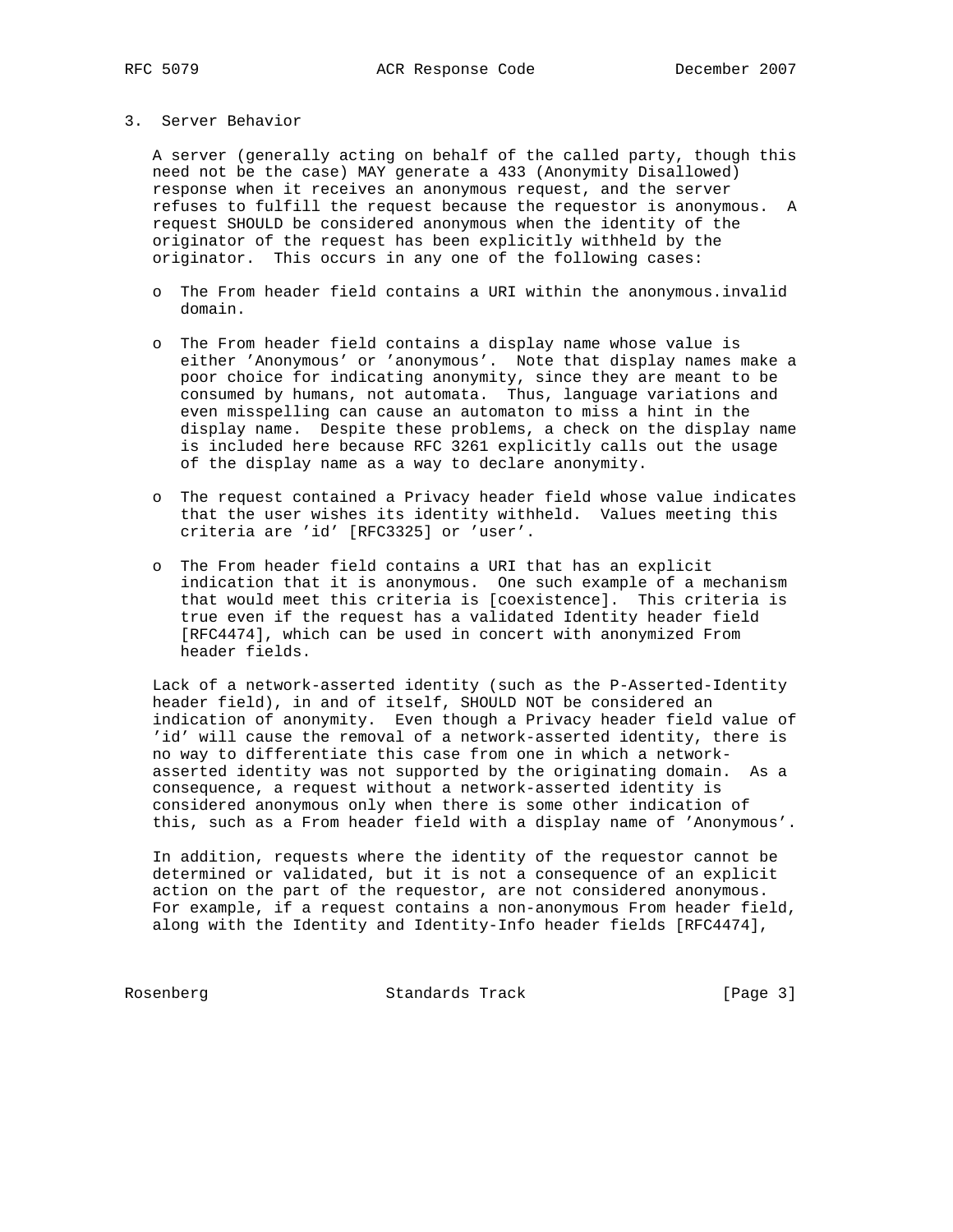### 3. Server Behavior

 A server (generally acting on behalf of the called party, though this need not be the case) MAY generate a 433 (Anonymity Disallowed) response when it receives an anonymous request, and the server refuses to fulfill the request because the requestor is anonymous. A request SHOULD be considered anonymous when the identity of the originator of the request has been explicitly withheld by the originator. This occurs in any one of the following cases:

- o The From header field contains a URI within the anonymous.invalid domain.
- o The From header field contains a display name whose value is either 'Anonymous' or 'anonymous'. Note that display names make a poor choice for indicating anonymity, since they are meant to be consumed by humans, not automata. Thus, language variations and even misspelling can cause an automaton to miss a hint in the display name. Despite these problems, a check on the display name is included here because RFC 3261 explicitly calls out the usage of the display name as a way to declare anonymity.
- o The request contained a Privacy header field whose value indicates that the user wishes its identity withheld. Values meeting this criteria are 'id' [RFC3325] or 'user'.
- o The From header field contains a URI that has an explicit indication that it is anonymous. One such example of a mechanism that would meet this criteria is [coexistence]. This criteria is true even if the request has a validated Identity header field [RFC4474], which can be used in concert with anonymized From header fields.

 Lack of a network-asserted identity (such as the P-Asserted-Identity header field), in and of itself, SHOULD NOT be considered an indication of anonymity. Even though a Privacy header field value of 'id' will cause the removal of a network-asserted identity, there is no way to differentiate this case from one in which a network asserted identity was not supported by the originating domain. As a consequence, a request without a network-asserted identity is considered anonymous only when there is some other indication of this, such as a From header field with a display name of 'Anonymous'.

 In addition, requests where the identity of the requestor cannot be determined or validated, but it is not a consequence of an explicit action on the part of the requestor, are not considered anonymous. For example, if a request contains a non-anonymous From header field, along with the Identity and Identity-Info header fields [RFC4474],

Rosenberg Standards Track [Page 3]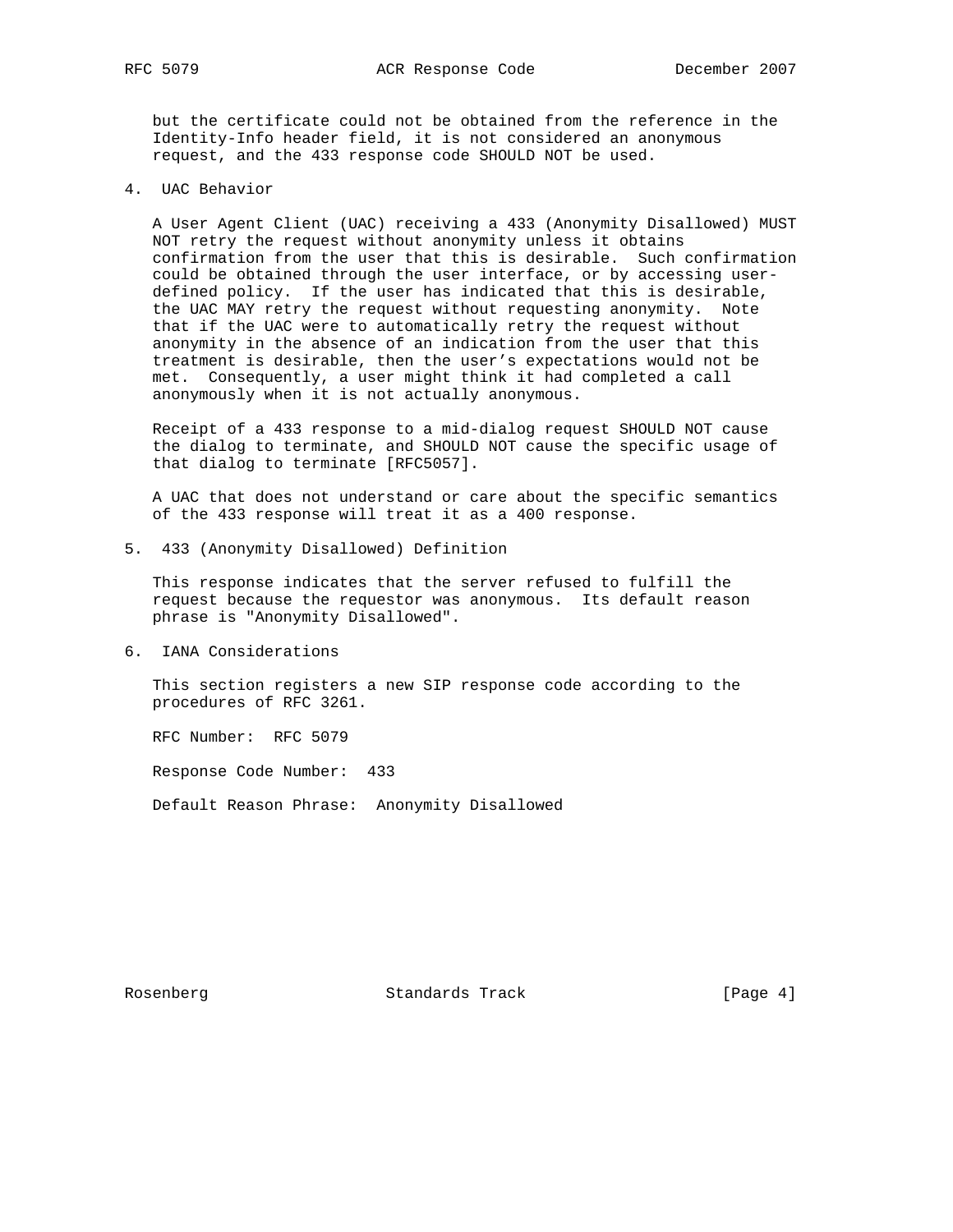but the certificate could not be obtained from the reference in the Identity-Info header field, it is not considered an anonymous request, and the 433 response code SHOULD NOT be used.

4. UAC Behavior

 A User Agent Client (UAC) receiving a 433 (Anonymity Disallowed) MUST NOT retry the request without anonymity unless it obtains confirmation from the user that this is desirable. Such confirmation could be obtained through the user interface, or by accessing user defined policy. If the user has indicated that this is desirable, the UAC MAY retry the request without requesting anonymity. Note that if the UAC were to automatically retry the request without anonymity in the absence of an indication from the user that this treatment is desirable, then the user's expectations would not be met. Consequently, a user might think it had completed a call anonymously when it is not actually anonymous.

 Receipt of a 433 response to a mid-dialog request SHOULD NOT cause the dialog to terminate, and SHOULD NOT cause the specific usage of that dialog to terminate [RFC5057].

 A UAC that does not understand or care about the specific semantics of the 433 response will treat it as a 400 response.

5. 433 (Anonymity Disallowed) Definition

 This response indicates that the server refused to fulfill the request because the requestor was anonymous. Its default reason phrase is "Anonymity Disallowed".

6. IANA Considerations

 This section registers a new SIP response code according to the procedures of RFC 3261.

RFC Number: RFC 5079

Response Code Number: 433

Default Reason Phrase: Anonymity Disallowed

Rosenberg Standards Track [Page 4]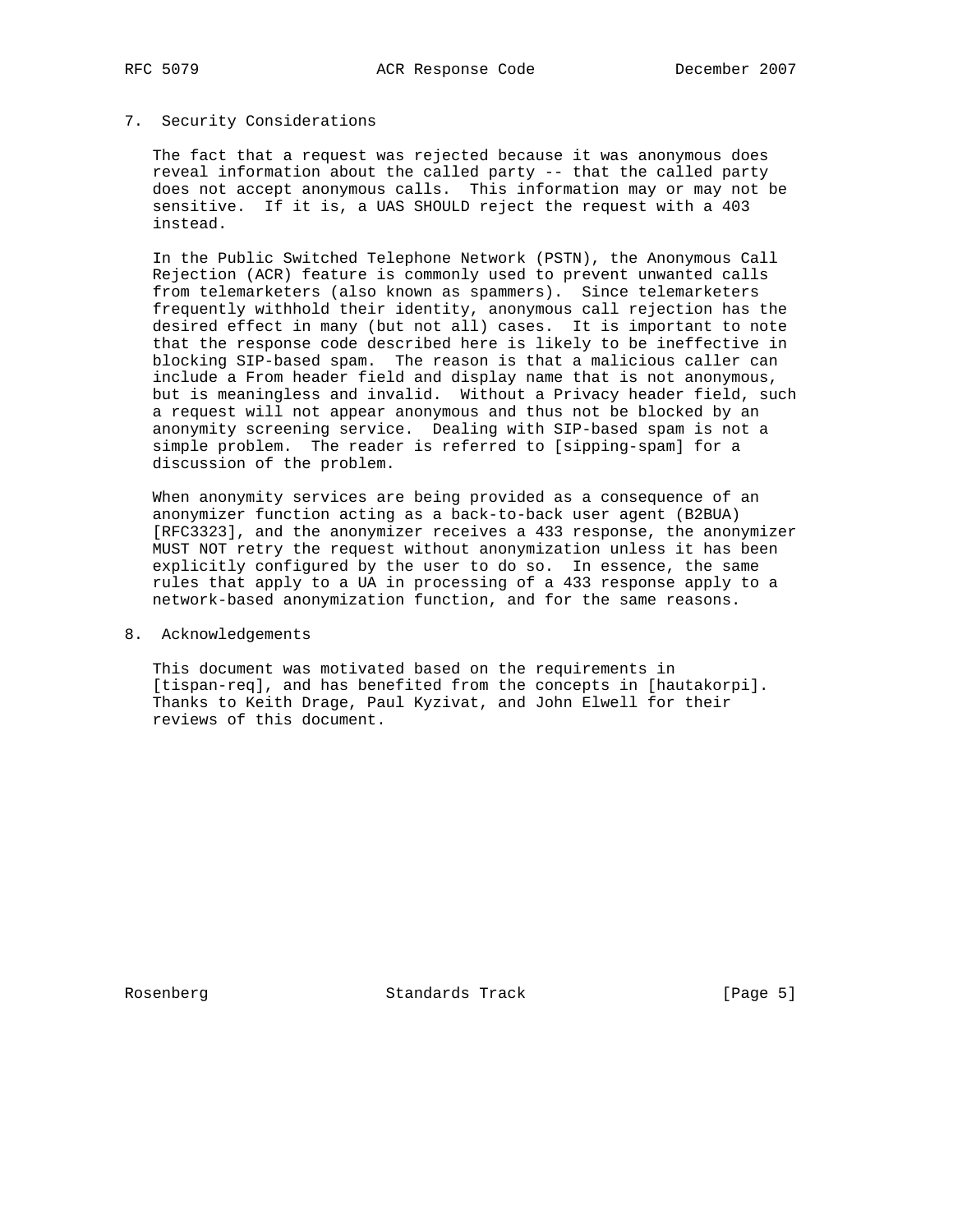### 7. Security Considerations

 The fact that a request was rejected because it was anonymous does reveal information about the called party -- that the called party does not accept anonymous calls. This information may or may not be sensitive. If it is, a UAS SHOULD reject the request with a 403 instead.

 In the Public Switched Telephone Network (PSTN), the Anonymous Call Rejection (ACR) feature is commonly used to prevent unwanted calls from telemarketers (also known as spammers). Since telemarketers frequently withhold their identity, anonymous call rejection has the desired effect in many (but not all) cases. It is important to note that the response code described here is likely to be ineffective in blocking SIP-based spam. The reason is that a malicious caller can include a From header field and display name that is not anonymous, but is meaningless and invalid. Without a Privacy header field, such a request will not appear anonymous and thus not be blocked by an anonymity screening service. Dealing with SIP-based spam is not a simple problem. The reader is referred to [sipping-spam] for a discussion of the problem.

 When anonymity services are being provided as a consequence of an anonymizer function acting as a back-to-back user agent (B2BUA) [RFC3323], and the anonymizer receives a 433 response, the anonymizer MUST NOT retry the request without anonymization unless it has been explicitly configured by the user to do so. In essence, the same rules that apply to a UA in processing of a 433 response apply to a network-based anonymization function, and for the same reasons.

8. Acknowledgements

 This document was motivated based on the requirements in [tispan-req], and has benefited from the concepts in [hautakorpi]. Thanks to Keith Drage, Paul Kyzivat, and John Elwell for their reviews of this document.

Rosenberg Standards Track [Page 5]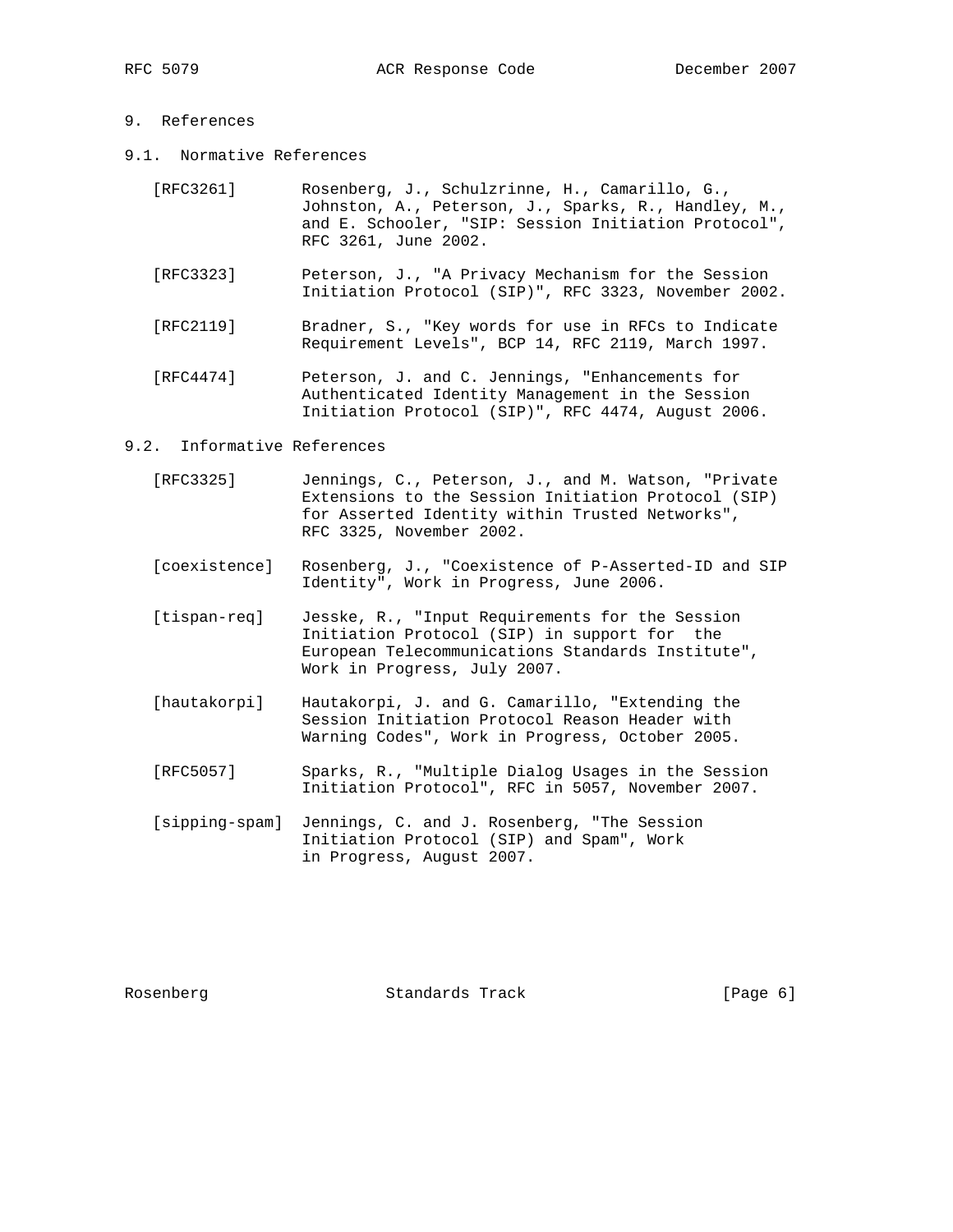## 9. References

9.1. Normative References

| [RFC3261] | Rosenberg, J., Schulzrinne, H., Camarillo, G.,       |
|-----------|------------------------------------------------------|
|           | Johnston, A., Peterson, J., Sparks, R., Handley, M., |
|           | and E. Schooler, "SIP: Session Initiation Protocol", |
|           | RFC 3261, June 2002.                                 |

- [RFC3323] Peterson, J., "A Privacy Mechanism for the Session Initiation Protocol (SIP)", RFC 3323, November 2002.
- [RFC2119] Bradner, S., "Key words for use in RFCs to Indicate Requirement Levels", BCP 14, RFC 2119, March 1997.
- [RFC4474] Peterson, J. and C. Jennings, "Enhancements for Authenticated Identity Management in the Session Initiation Protocol (SIP)", RFC 4474, August 2006.

#### 9.2. Informative References

- [RFC3325] Jennings, C., Peterson, J., and M. Watson, "Private Extensions to the Session Initiation Protocol (SIP) for Asserted Identity within Trusted Networks", RFC 3325, November 2002.
- [coexistence] Rosenberg, J., "Coexistence of P-Asserted-ID and SIP Identity", Work in Progress, June 2006.
- [tispan-req] Jesske, R., "Input Requirements for the Session Initiation Protocol (SIP) in support for the European Telecommunications Standards Institute", Work in Progress, July 2007.
- [hautakorpi] Hautakorpi, J. and G. Camarillo, "Extending the Session Initiation Protocol Reason Header with Warning Codes", Work in Progress, October 2005.
- [RFC5057] Sparks, R., "Multiple Dialog Usages in the Session Initiation Protocol", RFC in 5057, November 2007.
- [sipping-spam] Jennings, C. and J. Rosenberg, "The Session Initiation Protocol (SIP) and Spam", Work in Progress, August 2007.

Rosenberg Standards Track [Page 6]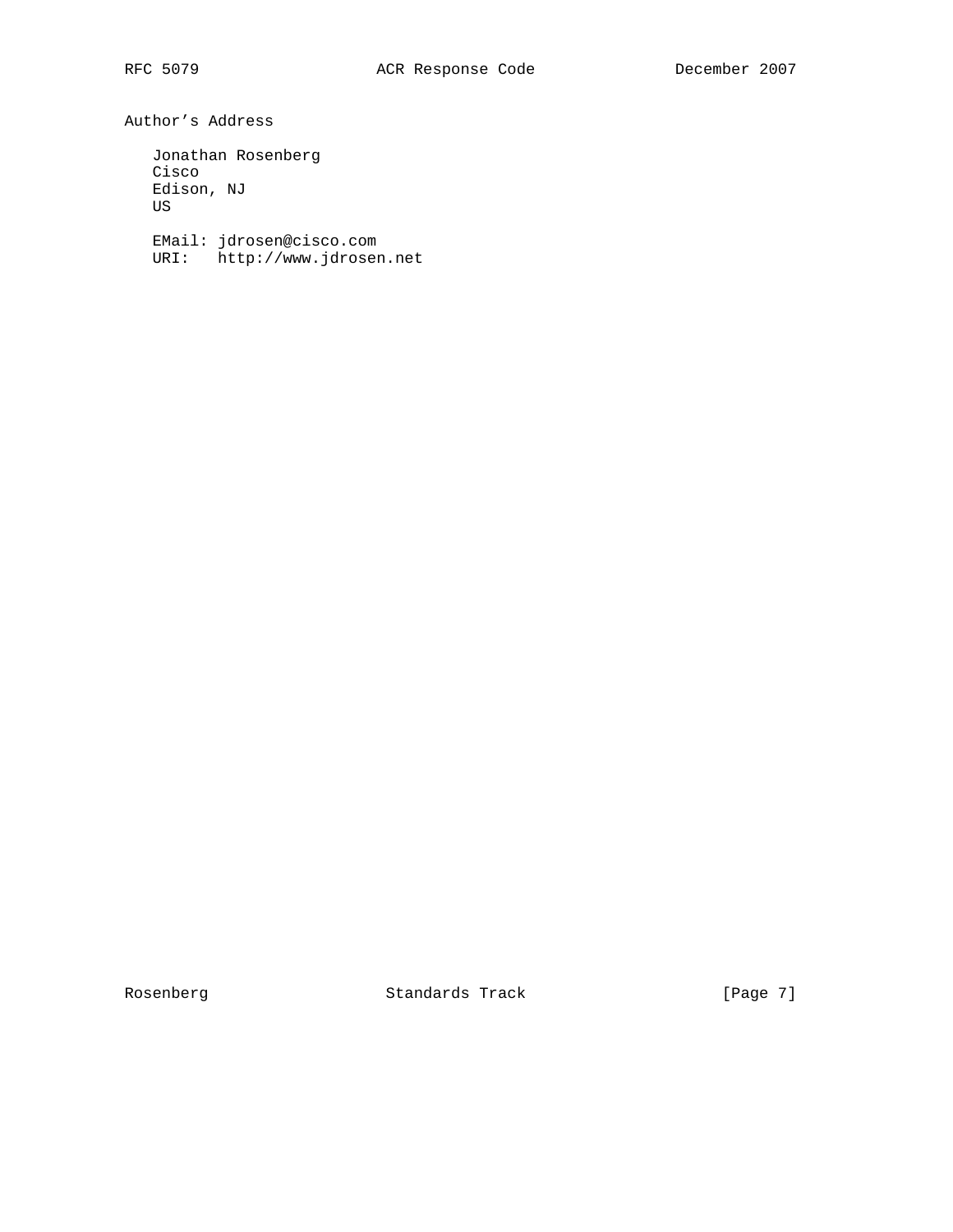Author's Address

 Jonathan Rosenberg Cisco Edison, NJ US

 EMail: jdrosen@cisco.com URI: http://www.jdrosen.net

Rosenberg Standards Track [Page 7]